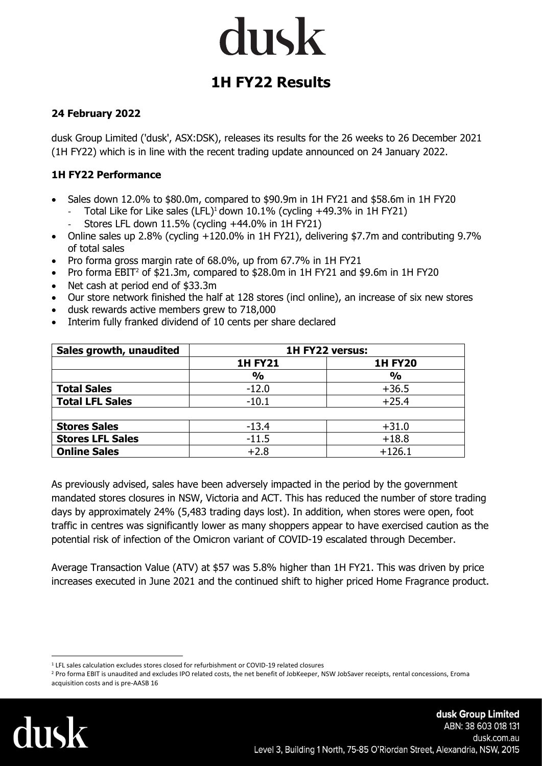### dusk

### **1H FY22 Results**

### **24 February 2022**

dusk Group Limited ('dusk', ASX:DSK), releases its results for the 26 weeks to 26 December 2021 (1H FY22) which is in line with the recent trading update announced on 24 January 2022.

### **1H FY22 Performance**

- Sales down 12.0% to \$80.0m, compared to \$90.9m in 1H FY21 and \$58.6m in 1H FY20
	- Total Like for Like sales (LFL)<sup>1</sup> down 10.1% (cycling +49.3% in 1H FY21) - Stores LFL down 11.5% (cycling +44.0% in 1H FY21)
- Online sales up 2.8% (cycling +120.0% in 1H FY21), delivering \$7.7m and contributing 9.7% of total sales
- Pro forma gross margin rate of 68.0%, up from 67.7% in 1H FY21
- Pro forma EBIT<sup>2</sup> of \$21.3m, compared to \$28.0m in 1H FY21 and \$9.6m in 1H FY20
- Net cash at period end of \$33.3m
- Our store network finished the half at 128 stores (incl online), an increase of six new stores
- dusk rewards active members grew to 718,000
- Interim fully franked dividend of 10 cents per share declared

| Sales growth, unaudited | 1H FY22 versus: |                |
|-------------------------|-----------------|----------------|
|                         | <b>1H FY21</b>  | <b>1H FY20</b> |
|                         | $\frac{0}{0}$   | $\frac{0}{0}$  |
| <b>Total Sales</b>      | $-12.0$         | $+36.5$        |
| <b>Total LFL Sales</b>  | $-10.1$         | $+25.4$        |
|                         |                 |                |
| <b>Stores Sales</b>     | $-13.4$         | $+31.0$        |
| <b>Stores LFL Sales</b> | $-11.5$         | $+18.8$        |
| <b>Online Sales</b>     | $+2.8$          | $+126.1$       |

As previously advised, sales have been adversely impacted in the period by the government mandated stores closures in NSW, Victoria and ACT. This has reduced the number of store trading days by approximately 24% (5,483 trading days lost). In addition, when stores were open, foot traffic in centres was significantly lower as many shoppers appear to have exercised caution as the potential risk of infection of the Omicron variant of COVID-19 escalated through December.

Average Transaction Value (ATV) at \$57 was 5.8% higher than 1H FY21. This was driven by price increases executed in June 2021 and the continued shift to higher priced Home Fragrance product.

<sup>&</sup>lt;sup>2</sup> Pro forma EBIT is unaudited and excludes IPO related costs, the net benefit of JobKeeper, NSW JobSaver receipts, rental concessions, Eroma acquisition costs and is pre-AASB 16



<sup>1</sup> LFL sales calculation excludes stores closed for refurbishment or COVID-19 related closures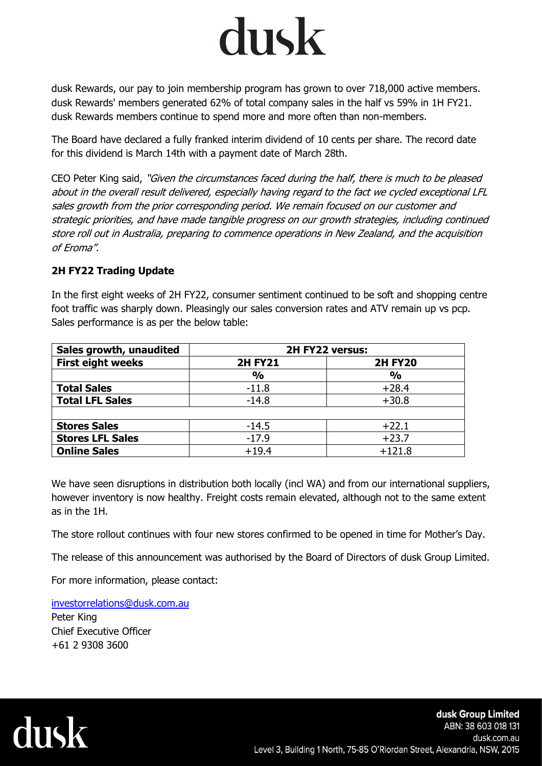## dusk

dusk Rewards, our pay to join membership program has grown to over 718,000 active members. dusk Rewards' members generated 62% of total company sales in the half vs 59% in 1H FY21. dusk Rewards members continue to spend more and more often than non-members.

The Board have declared a fully franked interim dividend of 10 cents per share. The record date for this dividend is March 14th with a payment date of March 28th.

CEO Peter King said, "Given the circumstances faced during the half, there is much to be pleased about in the overall result delivered, especially having regard to the fact we cycled exceptional LFL sales growth from the prior corresponding period. We remain focused on our customer and strategic priorities, and have made tangible progress on our growth strategies, including continued store roll out in Australia, preparing to commence operations in New Zealand, and the acquisition of Eroma".

### **2H FY22 Trading Update**

In the first eight weeks of 2H FY22, consumer sentiment continued to be soft and shopping centre foot traffic was sharply down. Pleasingly our sales conversion rates and ATV remain up vs pcp. Sales performance is as per the below table:

| Sales growth, unaudited  | 2H FY22 versus: |                |
|--------------------------|-----------------|----------------|
| <b>First eight weeks</b> | <b>2H FY21</b>  | <b>2H FY20</b> |
|                          | $\frac{0}{0}$   | $\frac{0}{0}$  |
| <b>Total Sales</b>       | $-11.8$         | $+28.4$        |
| <b>Total LFL Sales</b>   | $-14.8$         | $+30.8$        |
|                          |                 |                |
| <b>Stores Sales</b>      | $-14.5$         | $+22.1$        |
| <b>Stores LFL Sales</b>  | $-17.9$         | $+23.7$        |
| <b>Online Sales</b>      | $+19.4$         | $+121.8$       |

We have seen disruptions in distribution both locally (incl WA) and from our international suppliers, however inventory is now healthy. Freight costs remain elevated, although not to the same extent as in the 1H.

The store rollout continues with four new stores confirmed to be opened in time for Mother's Day.

The release of this announcement was authorised by the Board of Directors of dusk Group Limited.

For more information, please contact:

[investorrelations@dusk.com.au](mailto:investorrelations@dusk.com.au) Peter King

Chief Executive Officer +61 2 9308 3600